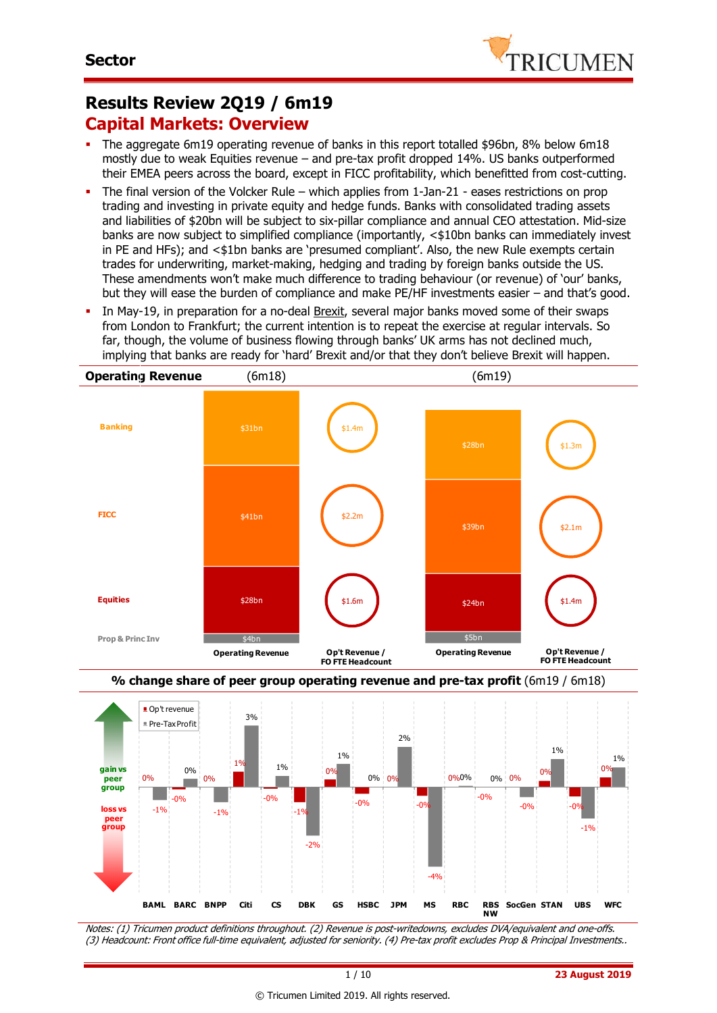

#### **Results Review 2Q19 / 6m19 Capital Markets: Overview**

- The aggregate 6m19 operating revenue of banks in this report totalled \$96bn, 8% below 6m18 mostly due to weak Equities revenue – and pre-tax profit dropped 14%. US banks outperformed their EMEA peers across the board, except in FICC profitability, which benefitted from cost-cutting.
- The final version of the Volcker Rule which applies from 1-Jan-21 eases restrictions on prop trading and investing in private equity and hedge funds. Banks with consolidated trading assets and liabilities of \$20bn will be subject to six-pillar compliance and annual CEO attestation. Mid-size banks are now subject to simplified compliance (importantly, <\$10bn banks can immediately invest in PE and HFs); and <\$1bn banks are 'presumed compliant'. Also, the new Rule exempts certain trades for underwriting, market-making, hedging and trading by foreign banks outside the US. These amendments won't make much difference to trading behaviour (or revenue) of 'our' banks, but they will ease the burden of compliance and make PE/HF investments easier – and that's good.
- In May-19, in preparation for a no-deal Brexit, several major banks moved some of their swaps from London to Frankfurt; the current intention is to repeat the exercise at regular intervals. So far, though, the volume of business flowing through banks' UK arms has not declined much, implying that banks are ready for 'hard' Brexit and/or that they don't believe Brexit will happen.





Notes: (1) Tricumen product definitions throughout. (2) Revenue is post-writedowns, excludes DVA/equivalent and one-offs. (3) Headcount: Front office full-time equivalent, adjusted for seniority. (4) Pre-tax profit excludes Prop & Principal Investments..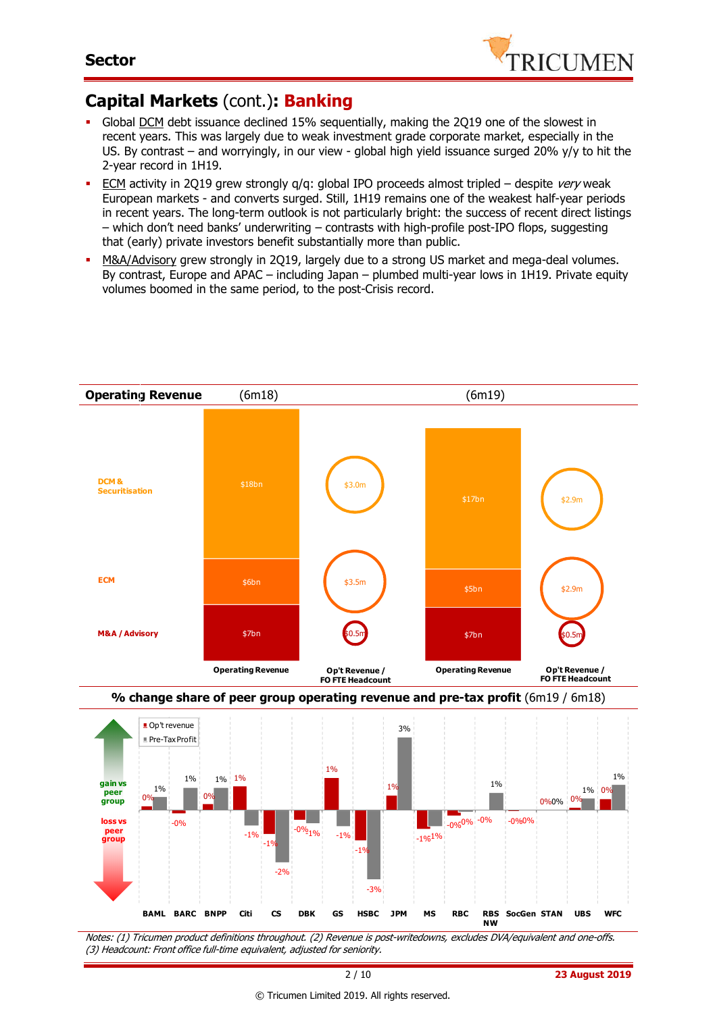

## **Capital Markets** (cont.)**: Banking**

- Global DCM debt issuance declined 15% sequentially, making the 2Q19 one of the slowest in recent years. This was largely due to weak investment grade corporate market, especially in the US. By contrast – and worryingly, in our view - global high yield issuance surged 20% y/y to hit the 2-year record in 1H19.
- **ECM** activity in 2Q19 grew strongly  $q/q$ : global IPO proceeds almost tripled despite *very* weak European markets - and converts surged. Still, 1H19 remains one of the weakest half-year periods in recent years. The long-term outlook is not particularly bright: the success of recent direct listings – which don't need banks' underwriting – contrasts with high-profile post-IPO flops, suggesting that (early) private investors benefit substantially more than public.
- M&A/Advisory grew strongly in 2Q19, largely due to a strong US market and mega-deal volumes. By contrast, Europe and APAC – including Japan – plumbed multi-year lows in 1H19. Private equity volumes boomed in the same period, to the post-Crisis record.



Notes: (1) Tricumen product definitions throughout. (2) Revenue is post-writedowns, excludes DVA/equivalent and one-offs. (3) Headcount: Front office full-time equivalent, adjusted for seniority. **NW**

-3%

-2%

**BAML BARC BNPP Citi CS DBK GS HSBC JPM MS RBC RBS** 

**SocGen STAN UBS WFC**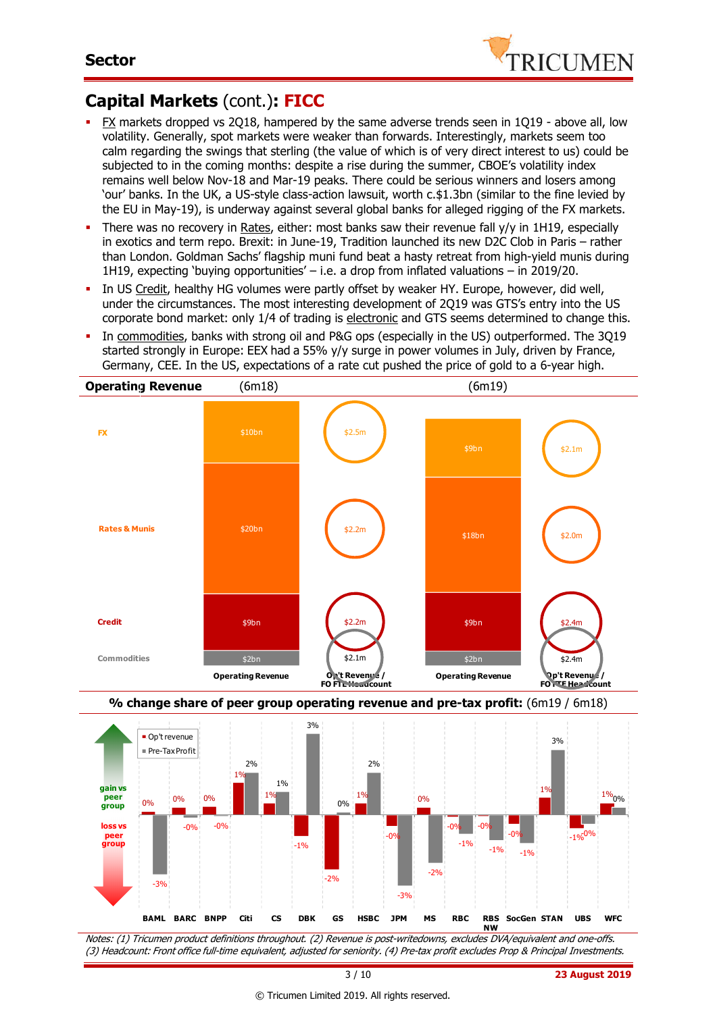

## **Capital Markets** (cont.)**: FICC**

- FX markets dropped vs 2Q18, hampered by the same adverse trends seen in 1Q19 above all, low volatility. Generally, spot markets were weaker than forwards. Interestingly, markets seem too calm regarding the swings that sterling (the value of which is of very direct interest to us) could be subjected to in the coming months: despite a rise during the summer, CBOE's volatility index remains well below Nov-18 and Mar-19 peaks. There could be serious winners and losers among 'our' banks. In the UK, a US-style class-action lawsuit, worth c.\$1.3bn (similar to the fine levied by the EU in May-19), is underway against several global banks for alleged rigging of the FX markets.
- There was no recovery in Rates, either: most banks saw their revenue fall  $y/y$  in 1H19, especially in exotics and term repo. Brexit: in June-19, Tradition launched its new D2C Clob in Paris – rather than London. Goldman Sachs' flagship muni fund beat a hasty retreat from high-yield munis during 1H19, expecting 'buying opportunities' – i.e. a drop from inflated valuations – in 2019/20.
- In US Credit, healthy HG volumes were partly offset by weaker HY. Europe, however, did well, under the circumstances. The most interesting development of 2Q19 was GTS's entry into the US corporate bond market: only 1/4 of trading is electronic and GTS seems determined to change this.
- In commodities, banks with strong oil and P&G ops (especially in the US) outperformed. The 3Q19 started strongly in Europe: EEX had a 55% y/y surge in power volumes in July, driven by France, Germany, CEE. In the US, expectations of a rate cut pushed the price of gold to a 6-year high.





Notes: (1) Tricumen product definitions throughout. (2) Revenue is post-writedowns, excludes DVA/equivalent and one-offs. (3) Headcount: Front office full-time equivalent, adjusted for seniority. (4) Pre-tax profit excludes Prop & Principal Investments.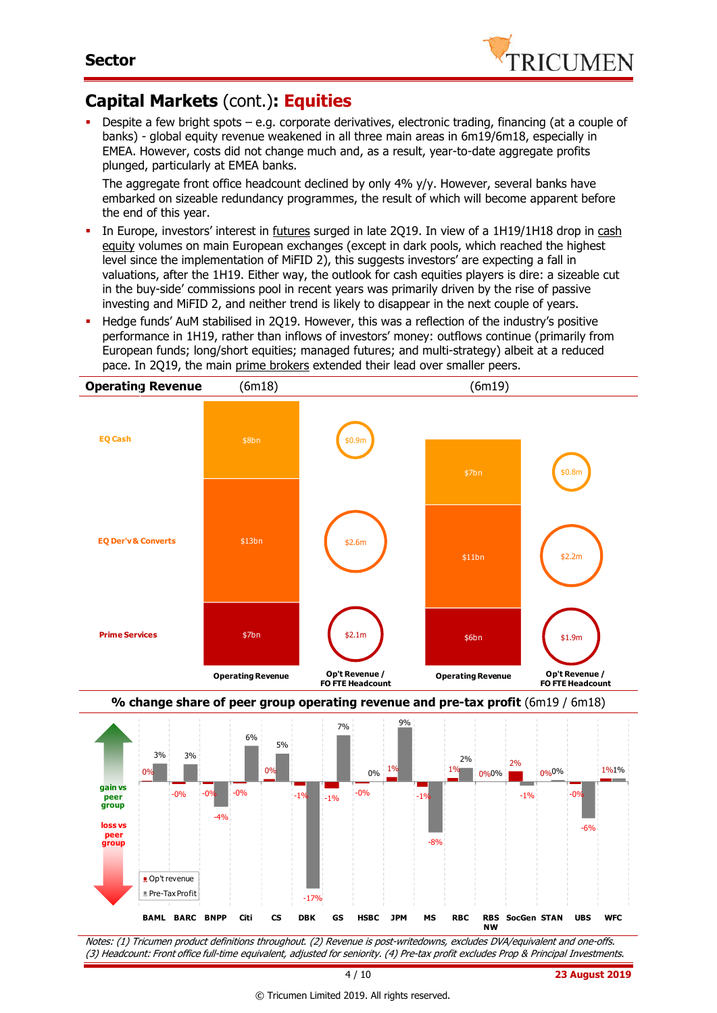

## **Capital Markets** (cont.)**: Equities**

 Despite a few bright spots – e.g. corporate derivatives, electronic trading, financing (at a couple of banks) - global equity revenue weakened in all three main areas in 6m19/6m18, especially in EMEA. However, costs did not change much and, as a result, year-to-date aggregate profits plunged, particularly at EMEA banks.

The aggregate front office headcount declined by only 4% y/y. However, several banks have embarked on sizeable redundancy programmes, the result of which will become apparent before the end of this year.

- In Europe, investors' interest in futures surged in late 2Q19. In view of a 1H19/1H18 drop in cash equity volumes on main European exchanges (except in dark pools, which reached the highest level since the implementation of MiFID 2), this suggests investors' are expecting a fall in valuations, after the 1H19. Either way, the outlook for cash equities players is dire: a sizeable cut in the buy-side' commissions pool in recent years was primarily driven by the rise of passive investing and MiFID 2, and neither trend is likely to disappear in the next couple of years.
- Hedge funds' AuM stabilised in 2Q19. However, this was a reflection of the industry's positive performance in 1H19, rather than inflows of investors' money: outflows continue (primarily from European funds; long/short equities; managed futures; and multi-strategy) albeit at a reduced pace. In 2Q19, the main prime brokers extended their lead over smaller peers.







Notes: (1) Tricumen product definitions throughout. (2) Revenue is post-writedowns, excludes DVA/equivalent and one-offs. (3) Headcount: Front office full-time equivalent, adjusted for seniority. (4) Pre-tax profit excludes Prop & Principal Investments.

4 / 10 **23 August 2019**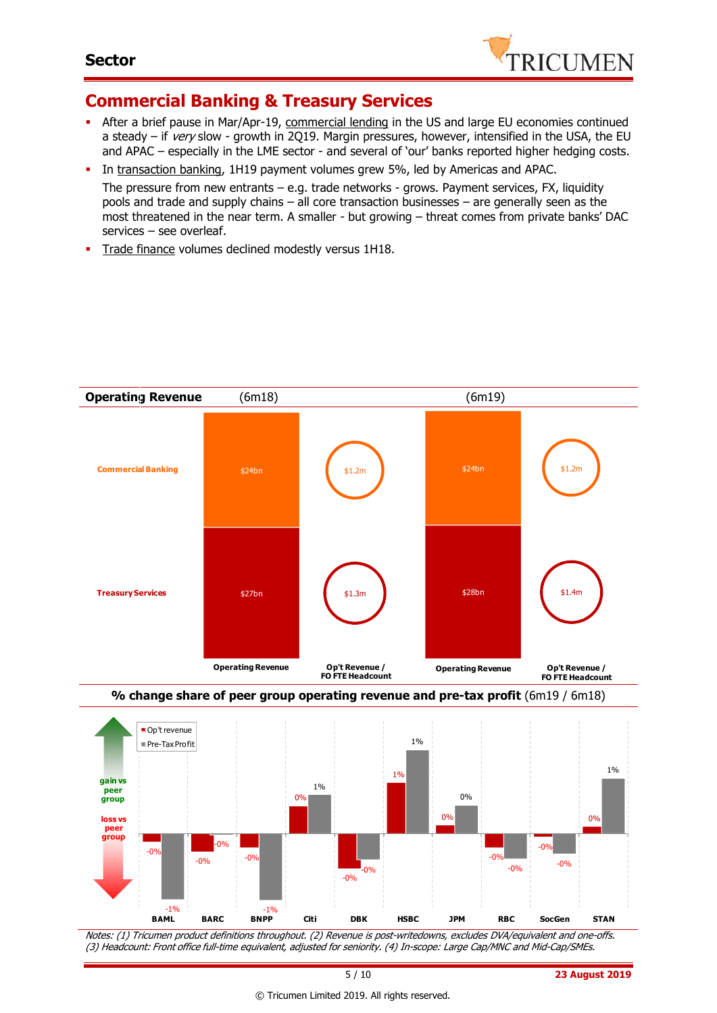

#### **Commercial Banking & Treasury Services**

- After a brief pause in Mar/Apr-19, commercial lending in the US and large EU economies continued a steady – if very slow - growth in 2Q19. Margin pressures, however, intensified in the USA, the EU and APAC – especially in the LME sector - and several of 'our' banks reported higher hedging costs.
- In transaction banking, 1H19 payment volumes grew 5%, led by Americas and APAC. The pressure from new entrants – e.g. trade networks - grows. Payment services, FX, liquidity pools and trade and supply chains – all core transaction businesses – are generally seen as the most threatened in the near term. A smaller - but growing – threat comes from private banks' DAC services – see overleaf.
- **Trade finance volumes declined modestly versus 1H18.**



Notes: (1) Tricumen product definitions throughout. (2) Revenue is post-writedowns, excludes DVA/equivalent and one-offs. (3) Headcount: Front office full-time equivalent, adjusted for seniority. (4) In-scope: Large Cap/MNC and Mid-Cap/SMEs.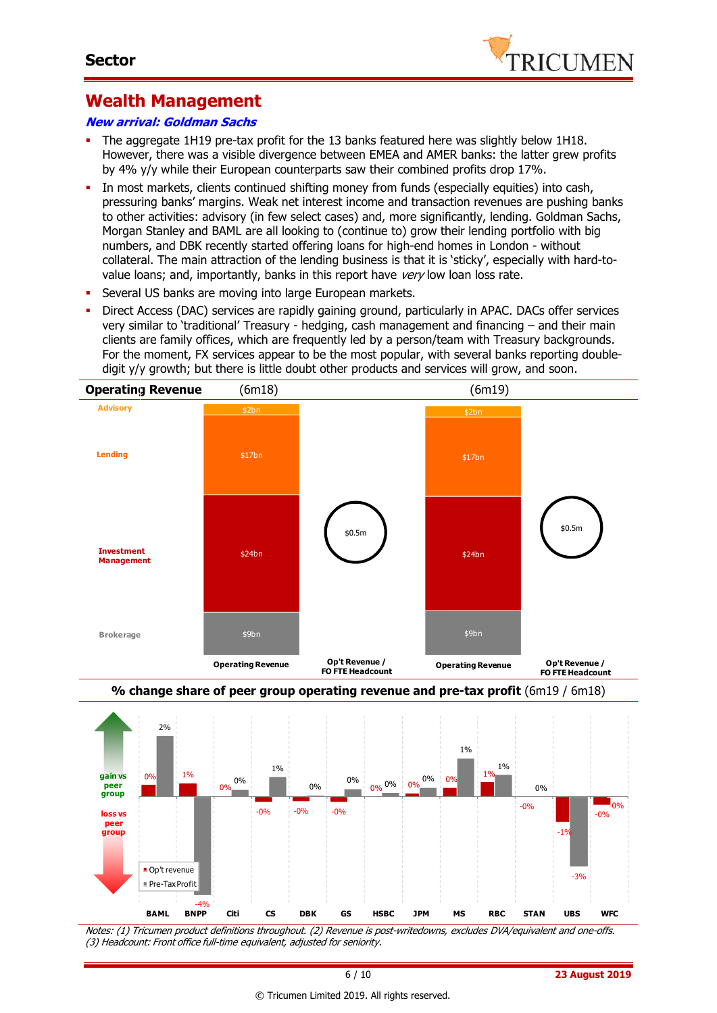

#### **Wealth Management**

#### **New arrival: Goldman Sachs**

- The aggregate 1H19 pre-tax profit for the 13 banks featured here was slightly below 1H18. However, there was a visible divergence between EMEA and AMER banks: the latter grew profits by 4% y/y while their European counterparts saw their combined profits drop 17%.
- In most markets, clients continued shifting money from funds (especially equities) into cash, pressuring banks' margins. Weak net interest income and transaction revenues are pushing banks to other activities: advisory (in few select cases) and, more significantly, lending. Goldman Sachs, Morgan Stanley and BAML are all looking to (continue to) grow their lending portfolio with big numbers, and DBK recently started offering loans for high-end homes in London - without collateral. The main attraction of the lending business is that it is 'sticky', especially with hard-tovalue loans; and, importantly, banks in this report have very low loan loss rate.
- **Several US banks are moving into large European markets.**
- Direct Access (DAC) services are rapidly gaining ground, particularly in APAC. DACs offer services very similar to 'traditional' Treasury - hedging, cash management and financing – and their main clients are family offices, which are frequently led by a person/team with Treasury backgrounds. For the moment, FX services appear to be the most popular, with several banks reporting doubledigit y/y growth; but there is little doubt other products and services will grow, and soon.







Notes: (1) Tricumen product definitions throughout. (2) Revenue is post-writedowns, excludes DVA/equivalent and one-offs. (3) Headcount: Front office full-time equivalent, adjusted for seniority.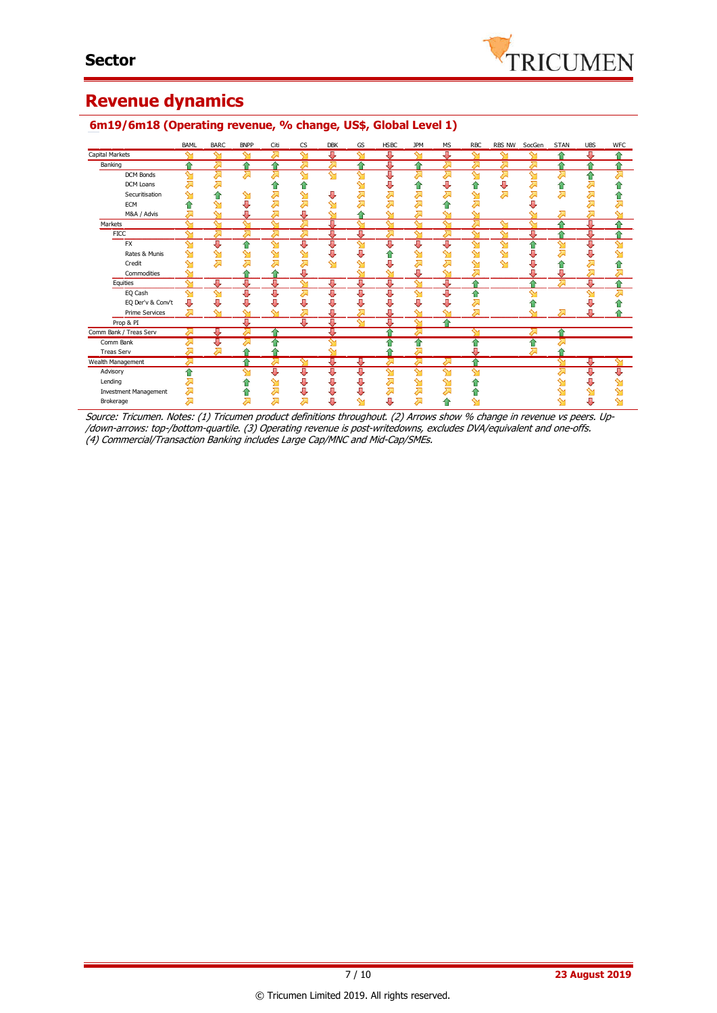

### **Revenue dynamics**

|                              | BAML               | <b>BARC</b>  | <b>BNPP</b> | Citi            | <b>CS</b> | <b>DBK</b>              | GS | <b>HSBC</b> | <b>JPM</b>        | <b>MS</b>               | <b>RBC</b>   | RBS NW             | SocGen | <b>STAN</b>        | <b>UBS</b> | <b>WFC</b> |
|------------------------------|--------------------|--------------|-------------|-----------------|-----------|-------------------------|----|-------------|-------------------|-------------------------|--------------|--------------------|--------|--------------------|------------|------------|
| Capital Markets              | ∾                  | ఆ            | ∾           | 少               | ∾         | Д                       | ∾  | ⊕           | $\sim$            | ⊕                       | $\sim$       | ∾                  |        | $\triangle$        | л          |            |
| Banking                      | ♠                  | ⋝            | ⇑           | ♠               |           | ⋝                       |    | ⊕           | ⇑                 |                         | ⋝            |                    | ヘ      | ♠                  | ♦          |            |
| <b>DCM Bonds</b>             | $\sim$             | ठ्रा         | ⋝           | Σ               | $\sim$    | $\overline{\mathsf{M}}$ | ↬  | ⊕           | ⊼                 | ⋝                       | $\sim$       |                    | $\sim$ |                    | ۰          |            |
| DCM Loans                    |                    | 겨            |             | 1r              | ⇑         |                         | ∾  |             | ⋒                 | J                       |              |                    | ↗      | ⋒                  | 运          |            |
| Securitisation               |                    | ⇑            | ஊ           | ⋝               | ഷ         | J                       | ⋝  |             | ⋝                 |                         | ↬            | ⋝                  | ⋝      |                    |            |            |
| <b>ECM</b>                   |                    | ↬            | U           | Σ               | 对         | ∾                       |    |             |                   |                         |              |                    |        |                    |            |            |
| M&A / Advis                  |                    | $\sim$       | Д           | Σ               | Д         | ∾                       |    | ∾           |                   |                         | ∾            |                    |        |                    | Σ          |            |
| Markets                      | $\sim$             | $\sim$       | ∾           | $\sim$          | 对         | Д                       | ∾  | ∾           | $\sim$            | ∾                       | Σ            | ∾                  | ∾      | ۵                  | л          |            |
| <b>FICC</b>                  | $\sim$             | ⋝            | ⋝           | ⋝               | ⊼         | J                       | J  | ⋝           | ↬                 | ⋝                       | ∾            | ∾                  | Д      | ⇑                  | J          |            |
| <b>FX</b>                    | ᡐ                  | ⊕            | 습           | $\mathbf{M}$    | τ         | ℧                       | ☜  | ⊕           | Д                 | ΰ                       | $\mathbf{M}$ | $\mathbf{\hat{M}}$ | 合      | $\mathbf{\hat{y}}$ | J          | ∾          |
| Rates & Munis                | ∾                  | $\mathbf{M}$ | ஊ           | ↬               | ↬         | U                       | Π, |             |                   |                         | ∾            | ∾                  |        |                    |            |            |
| Credit                       | ∾                  | 对            | 겨           | <del>द्वा</del> | ⋝         | $\mathbf{\hat{M}}$      | ↬  |             | ⋝                 |                         | ഷ            | ∾                  |        | 11                 | 运          |            |
| Commodities                  | ∾                  |              |             | œ               | J         |                         | ∾  | ∾           | Д                 | ∾                       | ⋝            |                    | Д      | J,                 | ⋝          | ⇗          |
| Equities                     | $\mathbf{\hat{y}}$ | ѿ            | J,          | Д               | $\sim$    | ₩                       | Д  | Д           | ∾                 | Д                       |              |                    |        |                    | л          | ۵          |
| EQ Cash                      | $\mathbf{\hat{y}}$ | $\mathbf{M}$ | U           | U               | ⋝         | U                       | J  | J           | ∾                 | J                       | ⇑            |                    | ∾      |                    | ∾          | ⊼          |
| EQ Der'v & Conv't            | J                  | J            | U           | J               | J         |                         |    |             |                   |                         | ⋝            |                    |        |                    |            |            |
| <b>Prime Services</b>        | ⋝                  | $\sim$       | ∾           | ∾               | 对         |                         |    |             |                   |                         | Σ            |                    |        |                    |            |            |
| Prop & PI                    |                    |              | Ħ           |                 | π         | Д                       | ব  | U           | ∾                 |                         |              |                    |        |                    |            |            |
| Comm Bank / Treas Serv       |                    | JJ.          | ス           |                 |           |                         |    |             |                   |                         | ∾            |                    |        | 4                  |            |            |
| Comm Bank                    |                    | ⇩            | ↗           |                 |           | ∼                       |    |             | ⇑                 |                         |              |                    |        |                    |            |            |
| <b>Treas Serv</b>            |                    | ⋝            | 습           |                 |           | ∼                       |    |             |                   |                         |              |                    | ↗      |                    |            |            |
| Wealth Management            | ⋝                  |              | ≏           | Σ               | ∾         | д                       | 專  | ⋝           | ⋝                 | ठ्रा                    | ↷            |                    |        | ∾                  | л          | ∾          |
| Advisory                     | ⇮                  |              | ∾           | U               | ⊕         | ⇩                       | ⇩  | ∾           | $\mathbf{\Omega}$ | $\overline{\mathsf{M}}$ | ↬            |                    |        |                    | ⇩          | ⇩          |
| Lending                      |                    |              |             | Գ               | ⇩         | ⇩                       | J  | ⋝           | ഷ                 | ↬                       |              |                    |        |                    | J          | ഷ          |
| <b>Investment Management</b> | ⇗                  |              | û           | $\sum$          | ⊕         | U                       | U  | ⇗           | 对                 |                         |              |                    |        |                    |            |            |
| Brokerage                    |                    |              | 对           | <del>द्वा</del> | 对         | J,                      | ∾  | J           | 对                 | €                       |              |                    |        |                    | п          |            |

#### **6m19/6m18 (Operating revenue, % change, US\$, Global Level 1)**

Source: Tricumen. Notes: (1) Tricumen product definitions throughout. (2) Arrows show % change in revenue vs peers. Up- /down-arrows: top-/bottom-quartile. (3) Operating revenue is post-writedowns, excludes DVA/equivalent and one-offs. (4) Commercial/Transaction Banking includes Large Cap/MNC and Mid-Cap/SMEs.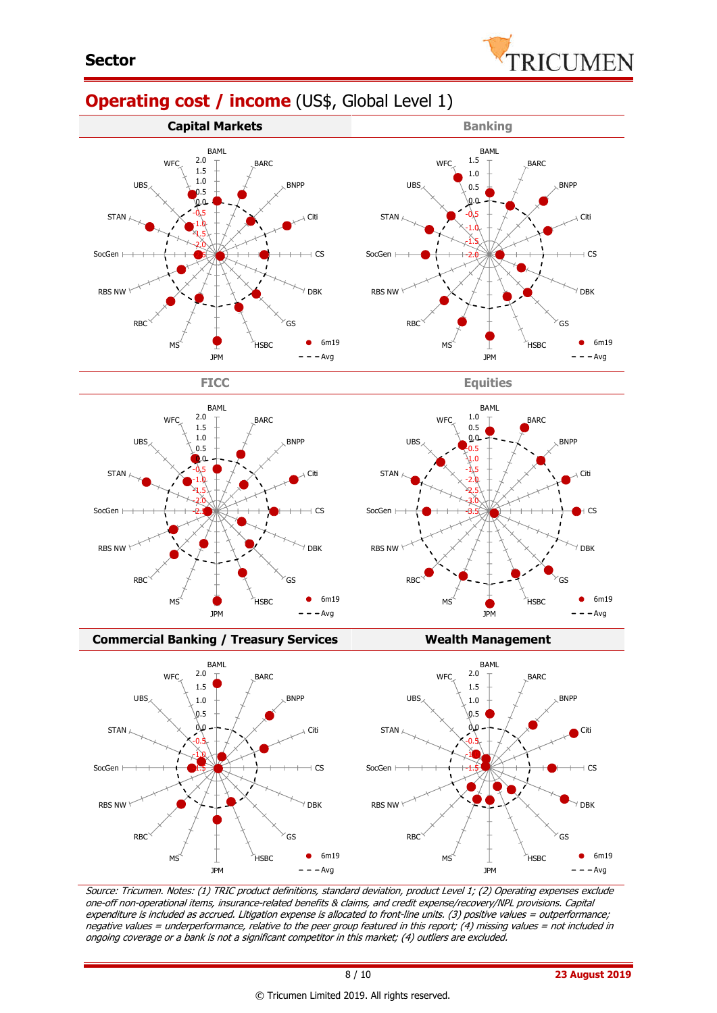

# **Operating cost / income** (US\$, Global Level 1)







**Commercial Banking / Treasury Services Wealth Management** 



Source: Tricumen. Notes: (1) TRIC product definitions, standard deviation, product Level 1; (2) Operating expenses exclude one-off non-operational items, insurance-related benefits & claims, and credit expense/recovery/NPL provisions. Capital expenditure is included as accrued. Litigation expense is allocated to front-line units. (3) positive values = outperformance; negative values = underperformance, relative to the peer group featured in this report; (4) missing values = not included in ongoing coverage or a bank is not a significant competitor in this market; (4) outliers are excluded.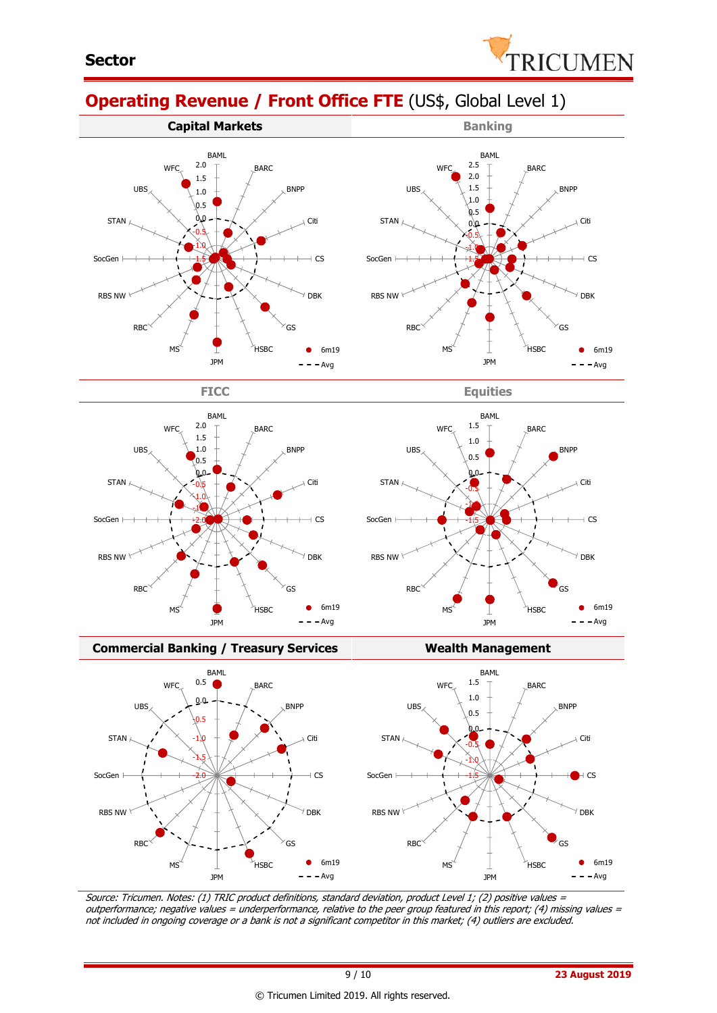

BNPP

Citi

 $+$  CS

DBK

 $\bullet$ 

6m19  $- -$ Avg

GS

# **Operating Revenue / Front Office FTE** (US\$, Global Level 1)











#### **Commercial Banking / Treasury Services Wealth Management**



Source: Tricumen. Notes: (1) TRIC product definitions, standard deviation, product Level 1; (2) positive values <sup>=</sup> outperformance; negative values = underperformance, relative to the peer group featured in this report; (4) missing values = not included in ongoing coverage or a bank is not a significant competitor in this market; (4) outliers are excluded.